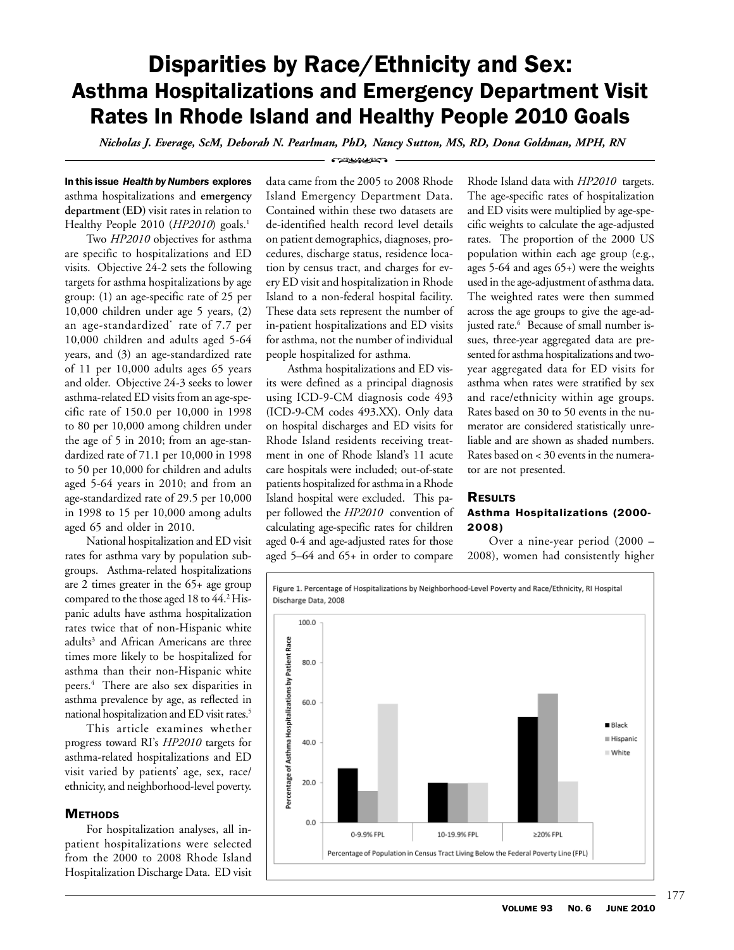# Disparities by Race/Ethnicity and Sex: Asthma Hospitalizations and Emergency Department Visit Rates In Rhode Island and Healthy People 2010 Goals

*Nicholas J. Everage, ScM, Deborah N. Pearlman, PhD, Nancy Sutton, MS, RD, Dona Goldman, MPH, RN* **CONVERTED** 

## In this issue *Health by Numbers* explores asthma hospitalizations and **emergency department (ED)** visit rates in relation to Healthy People 2010 (*HP2010*) goals.<sup>1</sup>

Two *HP2010* objectives for asthma are specific to hospitalizations and ED visits. Objective 24-2 sets the following targets for asthma hospitalizations by age group: (1) an age-specific rate of 25 per 10,000 children under age 5 years, (2) an age-standardized\* rate of 7.7 per 10,000 children and adults aged 5-64 years, and (3) an age-standardized rate of 11 per 10,000 adults ages 65 years and older. Objective 24-3 seeks to lower asthma-related ED visits from an age-specific rate of 150.0 per 10,000 in 1998 to 80 per 10,000 among children under the age of 5 in 2010; from an age-standardized rate of 71.1 per 10,000 in 1998 to 50 per 10,000 for children and adults aged 5-64 years in 2010; and from an age-standardized rate of 29.5 per 10,000 in 1998 to 15 per 10,000 among adults aged 65 and older in 2010.

National hospitalization and ED visit rates for asthma vary by population subgroups. Asthma-related hospitalizations are 2 times greater in the 65+ age group compared to the those aged 18 to 44.<sup>2</sup> Hispanic adults have asthma hospitalization rates twice that of non-Hispanic white adults<sup>3</sup> and African Americans are three times more likely to be hospitalized for asthma than their non-Hispanic white peers.4 There are also sex disparities in asthma prevalence by age, as reflected in national hospitalization and ED visit rates.5

This article examines whether progress toward RI's *HP2010* targets for asthma-related hospitalizations and ED visit varied by patients' age, sex, race/ ethnicity, and neighborhood-level poverty.

## **METHODS**

For hospitalization analyses, all inpatient hospitalizations were selected from the 2000 to 2008 Rhode Island Hospitalization Discharge Data. ED visit data came from the 2005 to 2008 Rhode Island Emergency Department Data. Contained within these two datasets are de-identified health record level details on patient demographics, diagnoses, procedures, discharge status, residence location by census tract, and charges for every ED visit and hospitalization in Rhode Island to a non-federal hospital facility. These data sets represent the number of in-patient hospitalizations and ED visits for asthma, not the number of individual people hospitalized for asthma.

Asthma hospitalizations and ED visits were defined as a principal diagnosis using ICD-9-CM diagnosis code 493 (ICD-9-CM codes 493.XX). Only data on hospital discharges and ED visits for Rhode Island residents receiving treatment in one of Rhode Island's 11 acute care hospitals were included; out-of-state patients hospitalized for asthma in a Rhode Island hospital were excluded. This paper followed the *HP2010* convention of calculating age-specific rates for children aged 0-4 and age-adjusted rates for those aged 5–64 and 65+ in order to compare

Rhode Island data with *HP2010* targets. The age-specific rates of hospitalization and ED visits were multiplied by age-specific weights to calculate the age-adjusted rates. The proportion of the 2000 US population within each age group (e.g., ages 5-64 and ages 65+) were the weights used in the age-adjustment of asthma data. The weighted rates were then summed across the age groups to give the age-adjusted rate.6 Because of small number issues, three-year aggregated data are presented for asthma hospitalizations and twoyear aggregated data for ED visits for asthma when rates were stratified by sex and race/ethnicity within age groups. Rates based on 30 to 50 events in the numerator are considered statistically unreliable and are shown as shaded numbers. Rates based on < 30 events in the numerator are not presented.

### **RESULTS** Asthma Hospitalizations (2000- 2008)

Over a nine-year period (2000 – 2008), women had consistently higher

Figure 1. Percentage of Hospitalizations by Neighborhood-Level Poverty and Race/Ethnicity, RI Hospital Discharge Data, 2008

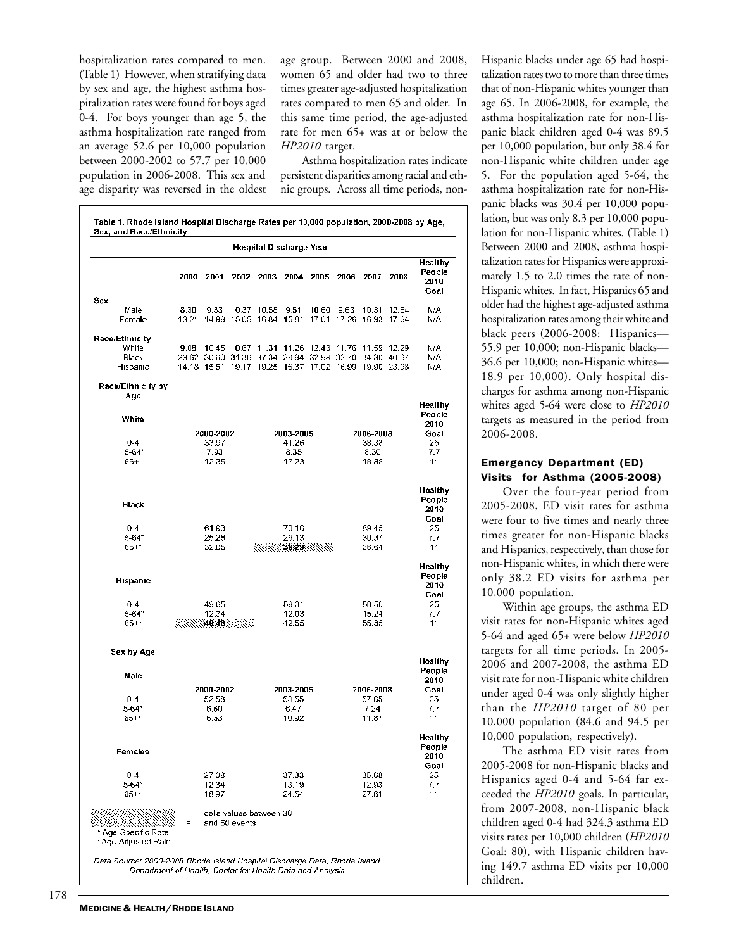hospitalization rates compared to men. (Table 1) However, when stratifying data by sex and age, the highest asthma hospitalization rates were found for boys aged 0-4. For boys younger than age 5, the asthma hospitalization rate ranged from an average 52.6 per 10,000 population between 2000-2002 to 57.7 per 10,000 population in 2006-2008. This sex and age disparity was reversed in the oldest age group. Between 2000 and 2008, women 65 and older had two to three times greater age-adjusted hospitalization rates compared to men 65 and older. In this same time period, the age-adjusted rate for men 65+ was at or below the *HP2010* target.

Asthma hospitalization rates indicate persistent disparities among racial and ethnic groups. Across all time periods, non-

| <b>Hospital Discharge Year</b>           |               |           |                   |                         |               |                                                                                                                |                         |               |             |                                   |
|------------------------------------------|---------------|-----------|-------------------|-------------------------|---------------|----------------------------------------------------------------------------------------------------------------|-------------------------|---------------|-------------|-----------------------------------|
|                                          | 2000          | 2001      | 2002              | 2003                    | 2004          | 2005                                                                                                           | 2006                    | 2007          | 2008        | Healthy<br>People<br>2010<br>Goal |
| Sex<br>Male                              | 8.30          | 9.83      |                   | 10.37 10.58             | 9.51          |                                                                                                                | 10.60 9.63              |               | 10.31 12.64 | N/A                               |
| Female                                   | 13.21         |           |                   | 14.99 15.05 16.84 15.81 |               |                                                                                                                | 17.61 17.26 16.93 17.64 |               |             | N/A                               |
| Race/Ethnicity                           |               |           |                   |                         |               |                                                                                                                |                         |               |             |                                   |
| White                                    | 9.08          |           | 10.45 10.67 11.31 |                         |               | 11.26 12.43 11.76 11.59 12.29                                                                                  |                         |               |             | N/A                               |
| Black<br>Hispanic                        |               |           |                   |                         |               | 23.62 30.60 31.36 37.34 28.94 32.98 32.70 34.30 40.67<br>14.18 15.51 19.17 19.25 16.37 17.02 16.99 19.90 23.98 |                         |               |             | N/A<br>N/A                        |
| Race/Ethnicity by<br>Age                 |               |           |                   |                         |               |                                                                                                                |                         |               |             |                                   |
|                                          |               |           |                   |                         |               |                                                                                                                |                         |               |             | Healthy                           |
| White                                    |               |           |                   |                         |               |                                                                                                                |                         |               |             | People<br>2010                    |
| $0 - 4$                                  |               | 2000-2002 |                   |                         | 2003-2005     |                                                                                                                |                         | 2006-2008     |             | Goal<br>25                        |
| $5 - 64$ *                               | 33.97<br>7.93 |           |                   |                         | 41.26<br>8.35 |                                                                                                                |                         | 38.38<br>8.30 |             |                                   |
| $65 +$ *                                 |               | 12.35     |                   |                         | 17.23         |                                                                                                                |                         | 18.88         |             | 7.7<br>11                         |
|                                          |               |           |                   |                         |               |                                                                                                                |                         |               |             |                                   |
| <b>Black</b>                             |               |           |                   |                         |               |                                                                                                                |                         |               |             | Healthy<br>People<br>2010<br>Goal |
| $0 - 4$                                  |               | 61.93     |                   |                         | 70.16         |                                                                                                                |                         | 89.45         |             | 25                                |
| $5 - 64$ *                               |               | 25.28     |                   |                         | 29.13         |                                                                                                                |                         | 30.37         |             | 7.7                               |
| $65 +$ *                                 |               | 32.05     |                   |                         |               | 98888 <b>30 20</b> 38888                                                                                       |                         | 36.64         |             | 11                                |
| Hispanic                                 |               |           |                   |                         |               |                                                                                                                |                         |               |             | Healthy<br>People<br>2010<br>Goal |
| $0 - 4$                                  |               | 49.65     |                   |                         | 59.31         |                                                                                                                |                         | 58.50         |             | 25                                |
| $5 - 64$ *                               |               | 12.34     |                   |                         | 12.03         |                                                                                                                |                         | 15.24         |             | 7.7                               |
| $65 +$ *                                 |               |           | 140.4823333       |                         | 42.55         |                                                                                                                |                         | 55.85         |             | 11                                |
| Sex by Age                               |               |           |                   |                         |               |                                                                                                                |                         |               |             |                                   |
| Male                                     |               |           |                   |                         |               |                                                                                                                |                         |               |             | Healthy<br>People                 |
|                                          |               | 2000-2002 |                   |                         | 2003-2005     |                                                                                                                |                         | 2006-2008     |             | 2010<br>Goal                      |
| $0-4$                                    |               | 52.58     |                   |                         | 58.55         |                                                                                                                |                         | 57.65         |             | 25                                |
| $5 - 64*$                                |               | 6.60      |                   |                         | 6.47          |                                                                                                                |                         | 7.24          |             | 7.7                               |
| $65 +$ *                                 |               | 6.53      |                   |                         | 10.92         |                                                                                                                |                         | 11.87         |             | 11                                |
| Females                                  |               |           |                   |                         |               |                                                                                                                |                         |               |             | Healthy<br>People<br>2010<br>Goal |
| $0 - 4$                                  |               | 27.08     |                   |                         | 37.33         |                                                                                                                |                         | 35.68         |             | 25                                |
| $5 - 64*$                                |               | 12.34     |                   |                         | 13.19         |                                                                                                                |                         | 12.93         |             | 7.7                               |
| $65 + *$                                 |               | 18.97     |                   |                         | 24.54         |                                                                                                                |                         | 27.81         |             | 11                                |
| Age-Specific Rate<br>† Age-Adjusted Rate | Ξ             |           | and 50 events     | cells values between 30 |               |                                                                                                                |                         |               |             |                                   |

Hispanic blacks under age 65 had hospitalization rates two to more than three times that of non-Hispanic whites younger than age 65. In 2006-2008, for example, the asthma hospitalization rate for non-Hispanic black children aged 0-4 was 89.5 per 10,000 population, but only 38.4 for non-Hispanic white children under age 5. For the population aged 5-64, the asthma hospitalization rate for non-Hispanic blacks was 30.4 per 10,000 population, but was only 8.3 per 10,000 population for non-Hispanic whites. (Table 1) Between 2000 and 2008, asthma hospitalization rates for Hispanics were approximately 1.5 to 2.0 times the rate of non-Hispanic whites. In fact, Hispanics 65 and older had the highest age-adjusted asthma hospitalization rates among their white and black peers (2006-2008: Hispanics— 55.9 per 10,000; non-Hispanic blacks— 36.6 per 10,000; non-Hispanic whites— 18.9 per 10,000). Only hospital discharges for asthma among non-Hispanic whites aged 5-64 were close to *HP2010* targets as measured in the period from 2006-2008.

#### Emergency Department (ED) Visits for Asthma (2005-2008)

Over the four-year period from 2005-2008, ED visit rates for asthma were four to five times and nearly three times greater for non-Hispanic blacks and Hispanics, respectively, than those for non-Hispanic whites, in which there were only 38.2 ED visits for asthma per 10,000 population.

Within age groups, the asthma ED visit rates for non-Hispanic whites aged 5-64 and aged 65+ were below *HP2010* targets for all time periods. In 2005- 2006 and 2007-2008, the asthma ED visit rate for non-Hispanic white children under aged 0-4 was only slightly higher than the *HP2010* target of 80 per 10,000 population (84.6 and 94.5 per 10,000 population, respectively).

The asthma ED visit rates from 2005-2008 for non-Hispanic blacks and Hispanics aged 0-4 and 5-64 far exceeded the *HP2010* goals. In particular, from 2007-2008, non-Hispanic black children aged 0-4 had 324.3 asthma ED visits rates per 10,000 children (*HP2010* Goal: 80), with Hispanic children having 149.7 asthma ED visits per 10,000 children.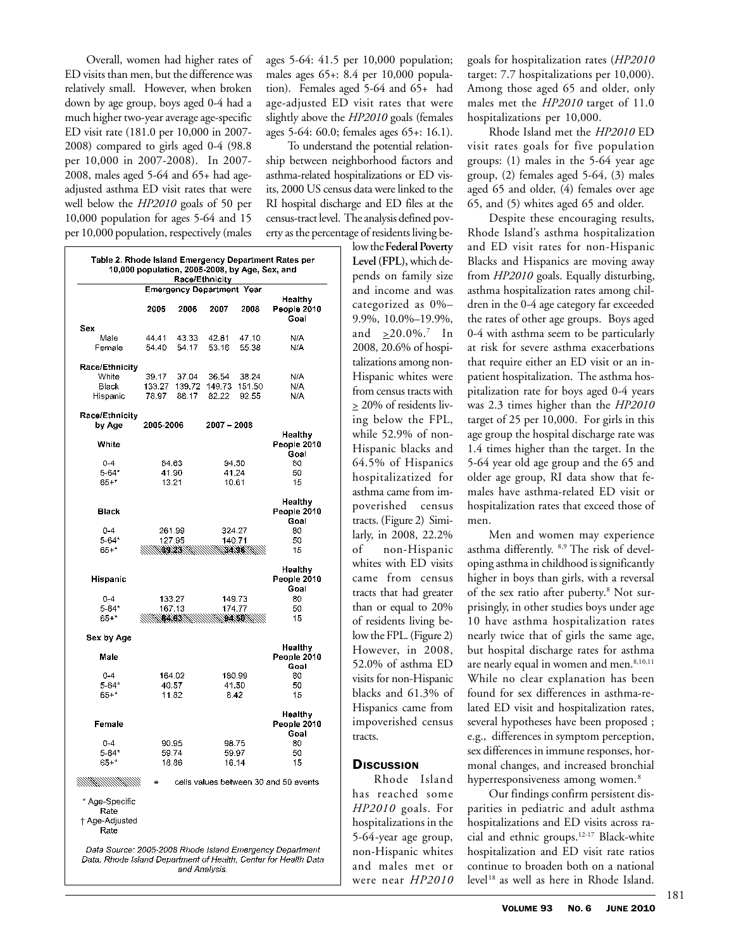Overall, women had higher rates of ED visits than men, but the difference was relatively small. However, when broken down by age group, boys aged 0-4 had a much higher two-year average age-specific ED visit rate (181.0 per 10,000 in 2007- 2008) compared to girls aged 0-4 (98.8 per 10,000 in 2007-2008). In 2007- 2008, males aged 5-64 and 65+ had ageadjusted asthma ED visit rates that were well below the *HP2010* goals of 50 per 10,000 population for ages 5-64 and 15 per 10,000 population, respectively (males

| Race/Ethnicity<br><b>Emergency Department Year</b> |                |                |                |                |                                       |  |  |  |  |  |
|----------------------------------------------------|----------------|----------------|----------------|----------------|---------------------------------------|--|--|--|--|--|
|                                                    | 2005           | 2006           | 2007           | 2008           | Healthy<br>People 2010<br>Goal        |  |  |  |  |  |
| Sex                                                |                |                |                |                |                                       |  |  |  |  |  |
| Male<br>Female                                     | 44.41<br>54.40 | 43.33<br>54.17 | 42.81<br>53.16 | 47.10<br>55.38 | N/A<br>N/A                            |  |  |  |  |  |
| Race/Ethnicity                                     |                |                |                |                |                                       |  |  |  |  |  |
| White                                              | 39.17          | 37.04          | 36.54          | 38.24          | N/A                                   |  |  |  |  |  |
| Black                                              | 133.27         | 139.72         | 149.73         | 151.50         | N/A                                   |  |  |  |  |  |
| Hispanic                                           | 78.97          | 88.17          | 82.22          | 92.55          | N/A                                   |  |  |  |  |  |
| Race/Ethnicity                                     |                |                |                |                |                                       |  |  |  |  |  |
| by Age                                             | 2005-2006      |                | 2007 - 2008    |                |                                       |  |  |  |  |  |
| White                                              |                |                |                |                | Healthy<br>People 2010<br>Goal        |  |  |  |  |  |
| $0 - 4$                                            |                | 84.63          | 94.50          | 80             |                                       |  |  |  |  |  |
| $5 - 64$ *                                         |                | 41.90          |                | 41.24          | 50                                    |  |  |  |  |  |
| $65 +$ *                                           |                | 13.21          |                | 10.61          | 15                                    |  |  |  |  |  |
| Black                                              |                |                |                |                | Healthy<br>People 2010<br>Goal        |  |  |  |  |  |
| $0 - 4$                                            |                | 261.99         | 324.27         |                | 80                                    |  |  |  |  |  |
| 5-64*                                              |                | 127.95         | 140.71         |                | 50                                    |  |  |  |  |  |
| $65 +$ *                                           |                |                |                |                | 15                                    |  |  |  |  |  |
|                                                    |                |                |                |                | Healthy                               |  |  |  |  |  |
| Hispanic                                           |                |                |                |                | People 2010<br>Goal                   |  |  |  |  |  |
| $0 - 4$                                            |                | 133.27         |                | 149.73         | 80                                    |  |  |  |  |  |
| 5-64*                                              |                | 167.13         | 174.77         |                | 50                                    |  |  |  |  |  |
| 65+*                                               |                |                |                |                | 15                                    |  |  |  |  |  |
| Sex by Age                                         |                |                |                |                |                                       |  |  |  |  |  |
| Male                                               |                |                |                |                | Healthy<br>People 2010<br>Goal        |  |  |  |  |  |
| $0 - 4$                                            |                | 164.02         |                | 180.99         | 80                                    |  |  |  |  |  |
| 5-64*                                              |                | 40.57          |                | 41.50          | 50                                    |  |  |  |  |  |
| 65+*                                               |                | 11.82          |                | 8.42           | 15                                    |  |  |  |  |  |
| Female                                             |                |                |                |                | Healthy<br>People 2010<br>Goal        |  |  |  |  |  |
| $0 - 4$                                            |                | 90.95          |                | 98.75          | 80                                    |  |  |  |  |  |
| 5-64*                                              |                | 59.74          |                | 59.97          | 50                                    |  |  |  |  |  |
| $65 +$ *                                           |                | 18.86          |                | 16.14          | 15                                    |  |  |  |  |  |
|                                                    |                |                |                |                | cells values between 30 and 50 events |  |  |  |  |  |
| * Age-Specific                                     |                |                |                |                |                                       |  |  |  |  |  |
| Rate<br>† Age-Adjusted                             |                |                |                |                |                                       |  |  |  |  |  |

Data Source: 2005-2008 Rhode Island Emergency Department Data, Rhode Island Department of Health, Center for Health Data and Analysis.

ages 5-64: 41.5 per 10,000 population; males ages 65+: 8.4 per 10,000 population). Females aged 5-64 and 65+ had age-adjusted ED visit rates that were slightly above the *HP2010* goals (females ages 5-64: 60.0; females ages 65+: 16.1).

To understand the potential relationship between neighborhood factors and asthma-related hospitalizations or ED visits, 2000 US census data were linked to the RI hospital discharge and ED files at the census-tract level. The analysis defined poverty as the percentage of residents living be-

> low the **Federal Poverty Level (FPL),** which depends on family size and income and was categorized as 0%– 9.9%, 10.0%–19.9%, and  $\geq 20.0\%$ .<sup>7</sup> In 2008, 20.6% of hospitalizations among non-Hispanic whites were from census tracts with  $\geq$  20% of residents living below the FPL, while 52.9% of non-Hispanic blacks and 64.5% of Hispanics hospitalizatized for asthma came from impoverished census tracts. (Figure 2) Similarly, in 2008, 22.2% of non-Hispanic whites with ED visits came from census tracts that had greater than or equal to 20% of residents living below the FPL. (Figure 2) However, in 2008, 52.0% of asthma ED visits for non-Hispanic blacks and 61.3% of Hispanics came from impoverished census tracts.

## **DISCUSSION**

Rhode Island has reached some *HP2010* goals. For hospitalizations in the 5-64-year age group, non-Hispanic whites and males met or were near *HP2010* goals for hospitalization rates (*HP2010* target: 7.7 hospitalizations per 10,000). Among those aged 65 and older, only males met the *HP2010* target of 11.0 hospitalizations per 10,000.

Rhode Island met the *HP2010* ED visit rates goals for five population groups: (1) males in the 5-64 year age group, (2) females aged 5-64, (3) males aged 65 and older, (4) females over age 65, and (5) whites aged 65 and older.

Despite these encouraging results, Rhode Island's asthma hospitalization and ED visit rates for non-Hispanic Blacks and Hispanics are moving away from *HP2010* goals. Equally disturbing, asthma hospitalization rates among children in the 0-4 age category far exceeded the rates of other age groups. Boys aged 0-4 with asthma seem to be particularly at risk for severe asthma exacerbations that require either an ED visit or an inpatient hospitalization. The asthma hospitalization rate for boys aged 0-4 years was 2.3 times higher than the *HP2010* target of 25 per 10,000. For girls in this age group the hospital discharge rate was 1.4 times higher than the target. In the 5-64 year old age group and the 65 and older age group, RI data show that females have asthma-related ED visit or hospitalization rates that exceed those of men.

Men and women may experience asthma differently. 8,9 The risk of developing asthma in childhood is significantly higher in boys than girls, with a reversal of the sex ratio after puberty.<sup>8</sup> Not surprisingly, in other studies boys under age 10 have asthma hospitalization rates nearly twice that of girls the same age, but hospital discharge rates for asthma are nearly equal in women and men.<sup>8,10,11</sup> While no clear explanation has been found for sex differences in asthma-related ED visit and hospitalization rates, several hypotheses have been proposed ; e.g., differences in symptom perception, sex differences in immune responses, hormonal changes, and increased bronchial hyperresponsiveness among women.<sup>8</sup>

Our findings confirm persistent disparities in pediatric and adult asthma hospitalizations and ED visits across racial and ethnic groups.12-17 Black-white hospitalization and ED visit rate ratios continue to broaden both on a national level18 as well as here in Rhode Island.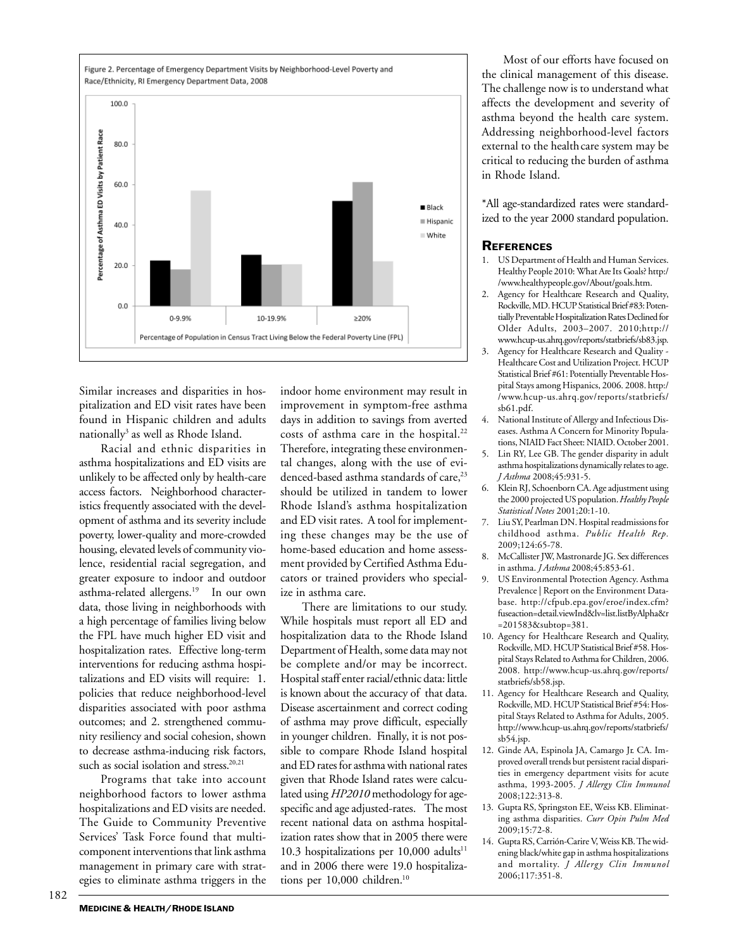

Similar increases and disparities in hospitalization and ED visit rates have been found in Hispanic children and adults nationally<sup>3</sup> as well as Rhode Island.

Racial and ethnic disparities in asthma hospitalizations and ED visits are unlikely to be affected only by health-care access factors. Neighborhood characteristics frequently associated with the development of asthma and its severity include poverty, lower-quality and more-crowded housing, elevated levels of community violence, residential racial segregation, and greater exposure to indoor and outdoor asthma-related allergens.<sup>19</sup> In our own data, those living in neighborhoods with a high percentage of families living below the FPL have much higher ED visit and hospitalization rates. Effective long-term interventions for reducing asthma hospitalizations and ED visits will require: 1. policies that reduce neighborhood-level disparities associated with poor asthma outcomes; and 2. strengthened community resiliency and social cohesion, shown to decrease asthma-inducing risk factors, such as social isolation and stress.<sup>20,21</sup>

Programs that take into account neighborhood factors to lower asthma hospitalizations and ED visits are needed. The Guide to Community Preventive Services' Task Force found that multicomponent interventions that link asthma management in primary care with strategies to eliminate asthma triggers in the

indoor home environment may result in improvement in symptom-free asthma days in addition to savings from averted costs of asthma care in the hospital.<sup>22</sup> Therefore, integrating these environmental changes, along with the use of evidenced-based asthma standards of care,<sup>23</sup> should be utilized in tandem to lower Rhode Island's asthma hospitalization and ED visit rates. A tool for implementing these changes may be the use of home-based education and home assessment provided by Certified Asthma Educators or trained providers who specialize in asthma care.

There are limitations to our study. While hospitals must report all ED and hospitalization data to the Rhode Island Department of Health, some data may not be complete and/or may be incorrect. Hospital staff enter racial/ethnic data: little is known about the accuracy of that data. Disease ascertainment and correct coding of asthma may prove difficult, especially in younger children. Finally, it is not possible to compare Rhode Island hospital and ED rates for asthma with national rates given that Rhode Island rates were calculated using *HP2010* methodology for agespecific and age adjusted-rates. The most recent national data on asthma hospitalization rates show that in 2005 there were 10.3 hospitalizations per  $10,000$  adults<sup>11</sup> and in 2006 there were 19.0 hospitalizations per 10,000 children.<sup>10</sup>

Most of our efforts have focused on the clinical management of this disease. The challenge now is to understand what affects the development and severity of asthma beyond the health care system. Addressing neighborhood-level factors external to the health care system may be critical to reducing the burden of asthma in Rhode Island.

\*All age-standardized rates were standardized to the year 2000 standard population.

#### **REFERENCES**

- US Department of Health and Human Services. Healthy People 2010: What Are Its Goals? http:/ /www.healthypeople.gov/About/goals.htm.
- 2. Agency for Healthcare Research and Quality, Rockville, MD. HCUP Statistical Brief #83: Potentially Preventable Hospitalization Rates Declined for Older Adults, 2003–2007. 2010;http:// www.hcup-us.ahrq.gov/reports/statbriefs/sb83.jsp.
- Agency for Healthcare Research and Quality -Healthcare Cost and Utilization Project. HCUP Statistical Brief #61: Potentially Preventable Hospital Stays among Hispanics, 2006. 2008. http:/ /www.hcup-us.ahrq.gov/reports/statbriefs/ sb61.pdf.
- 4. National Institute of Allergy and Infectious Diseases. Asthma A Concern for Minority Populations, NIAID Fact Sheet: NIAID. October 2001.
- 5. Lin RY, Lee GB. The gender disparity in adult asthma hospitalizations dynamically relates to age. *J Asthma* 2008;45:931-5.
- 6. Klein RJ, Schoenborn CA. Age adjustment using the 2000 projected US population. *Healthy People Statistical Notes* 2001;20:1-10.
- 7. Liu SY, Pearlman DN. Hospital readmissions for childhood asthma. *Public Health Rep.* 2009;124:65-78.
- 8. McCallister JW, Mastronarde JG. Sex differences in asthma. *J Asthma* 2008;45:853-61.
- 9. US Environmental Protection Agency. Asthma Prevalence | Report on the Environment Database. http://cfpub.epa.gov/eroe/index.cfm? fuseaction=detail.viewInd&lv=list.listByAlpha&r =201583&subtop=381.
- 10. Agency for Healthcare Research and Quality, Rockville, MD. HCUP Statistical Brief #58. Hospital Stays Related to Asthma for Children, 2006. 2008. http://www.hcup-us.ahrq.gov/reports/ statbriefs/sb58.jsp.
- 11. Agency for Healthcare Research and Quality, Rockville, MD. HCUP Statistical Brief #54: Hospital Stays Related to Asthma for Adults, 2005. http://www.hcup-us.ahrq.gov/reports/statbriefs/ sb54.jsp.
- 12. Ginde AA, Espinola JA, Camargo Jr. CA. Improved overall trends but persistent racial disparities in emergency department visits for acute asthma, 1993-2005. *J Allergy Clin Immunol* 2008;122:313-8.
- 13. Gupta RS, Springston EE, Weiss KB. Eliminating asthma disparities. *Curr Opin Pulm Med* 2009;15:72-8.
- 14. Gupta RS, Carrión-Carire V, Weiss KB. The widening black/white gap in asthma hospitalizations and mortality. *J Allergy Clin Immunol* 2006;117:351-8.